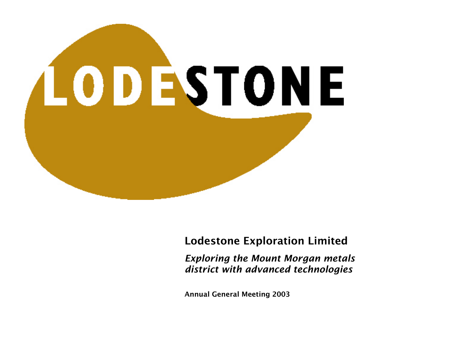

### Lodestone Exploration Limited

*Exploring the Mount Morgan metals district with advanced technologies*

Annual General Meeting 2003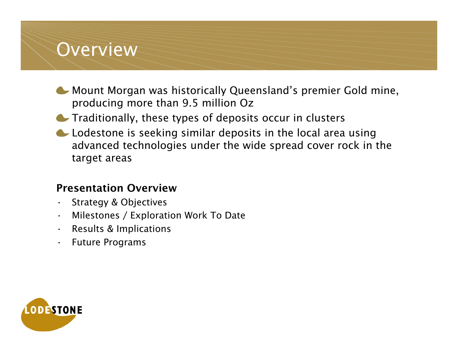### Overview

- **C** Mount Morgan was historically Queensland's premier Gold mine, producing more than 9.5 million Oz
- **Traditionally, these types of deposits occur in clusters**
- Lodestone is seeking similar deposits in the local area using advanced technologies under the wide spread cover rock in the target areas

### Presentation Overview

- •Strategy & Objectives
- •Milestones / Exploration Work To Date
- •Results & Implications
- •Future Programs

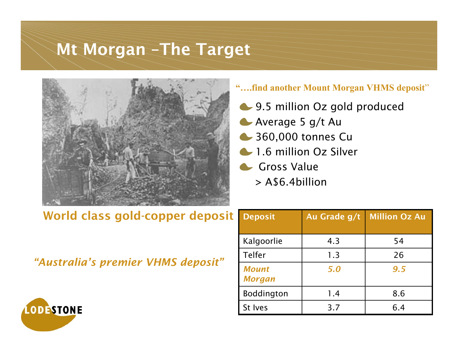### Mt Morgan –The Target



### **"….find another Mount Morgan VHMS deposit** "

- **9.5 million Oz gold produced**
- **Average 5 g/t Au**
- 360,000 tonnes Cu
- **1.6 million Oz Silver**
- Gross Value
	- > A\$6.4billion

### World class gold-copper deposit

*"Australia's premier VHMS deposit"*

| <b>Deposit</b>                | Au Grade g/t | <b>Million Oz Au</b> |  |
|-------------------------------|--------------|----------------------|--|
| Kalgoorlie                    | 4.3          | 54                   |  |
| Telfer                        | 1.3          | 26                   |  |
| <b>Mount</b><br><b>Morgan</b> | 5.0          | 9.5                  |  |
| Boddington                    | 1.4          | 8.6                  |  |
| St Ives                       | 3.7          | 6.4                  |  |

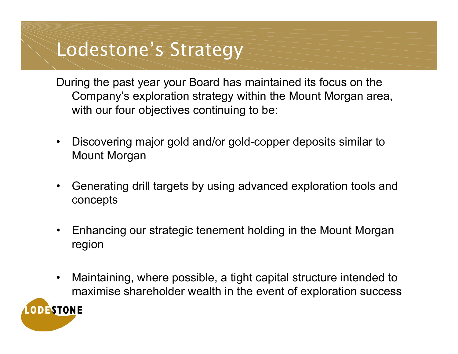# Lodestone's Strategy

During the past year your Board has maintained its focus on the Company's exploration strategy within the Mount Morgan area, with our four objectives continuing to be:

- •Discov ering major gold and/or gold-copper deposits similar to Mount Morgan
- •Generating drill targets by using advanced exploration tools and concepts
- •Enhancing our strategic tenement holding in the Mount Morgan region
- •Maintaining, where possible, a tight capital structure intended to maximise shareholder wealth in the event of exploration success

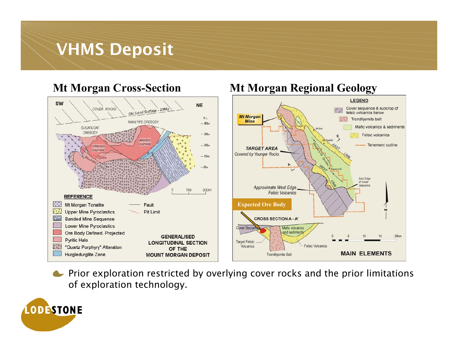### VHMS Deposit



### **Mt Morgan Cross-Section Mt Morgan Regional Geology**



**•** Prior exploration restricted by overlying cover rocks and the prior limitations of exploration technology.

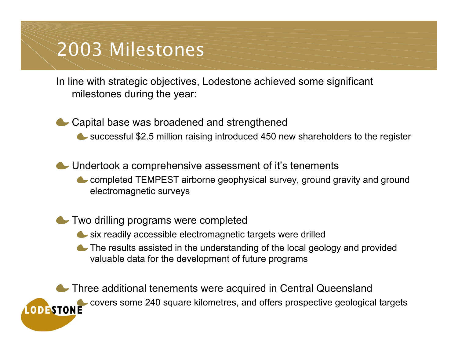# 2003 Milestones

In line with strategic objectives, Lodestone achieved some significant milestones during the year:

Capital base was broadened and strengthened

successful \$2.5 million r aising introduced 450 new shareholders to the register

Undertook a comprehensive assessment of it's tenements completed TEMPEST airborne geophysical survey, ground gravity and ground electromagnetic surveys

Two drilling programs were complet e d

- six readily accessible ele ctromagnetic targets were drilled
- The results assisted in the understanding of the local geology and provided valuable data for the development of futur e programs

**Three additional tenements were acquired in Central Queensland** covers some 240 square kilometres, and offers prospective geological targets **LODESTONE**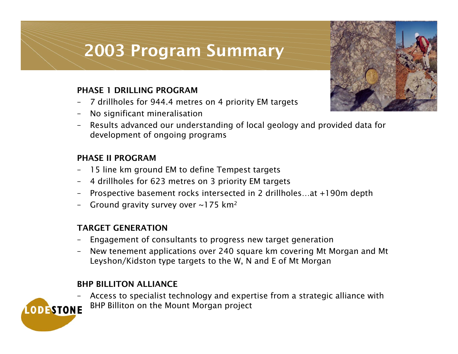## 2003 Program Summary

#### PHASE 1 DRILLING PROGRAM

- –7 drillhole s f or 944.4 metre s on 4 priority EM target s
- –N o sig nifica nt mineralisatio n
- –R e sult s advanced o ur u nderstanding of local geology a nd provid e d data f or d e v elopme nt of o n g oing programs

#### PHASE II PROGRAM

- –-  $\,$  15 line km ground EM to define Tempest targets
- –4 drillholes f or 623 metres on 3 priority EM targets
- –Prospective basement rocks intersected in 2 drillholes…at +190m depth
- –Ground gravity survey over ~175 km²  $\,$

#### TARGET GENERATION

- –Engagement of consultants to progress new target generation
- –New tenement applications over 2 40 square km covering Mt Morga n and Mt Leyshon/Kidston type targets to the W, N and E of Mt Morgan

#### BHP BILLITON ALLIANCE

Access to specialist technology and expertise from a strategic alliance with –BHP Billiton on the Mount Morga n project**LODESTONE** 

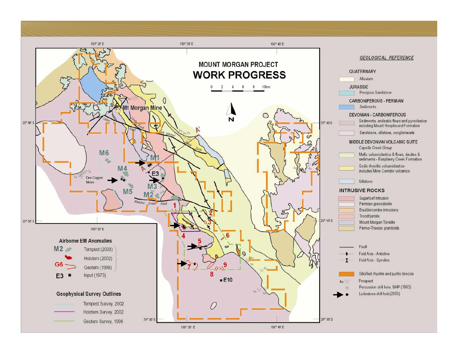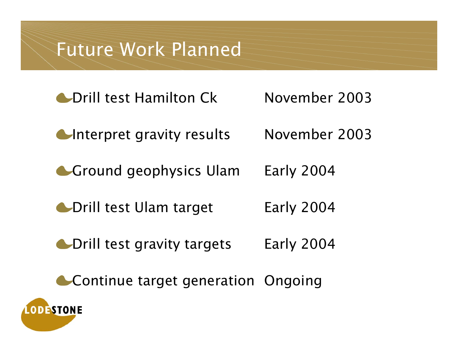# Future Work Planned

- **Contactual Library Contact Contact Contact Contact Contact Contact Contact Contact Contact Contact Contact Contact Contact Contact Contact Contact Contact Contact Contact Contact Contact Contact Contact Contact Contact Co**
- **Interpret gravity results** November 2003

November 2003

- Ground geophysics Ula mEarly 2004
- Drill test Ulam tar Early 2004
- **C**Drill test gravity targets Early 2004
- **Continue target generation Ongoing**

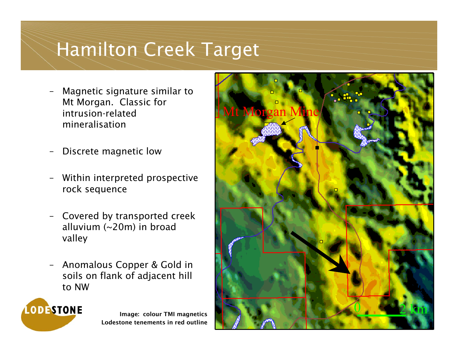# Hamilton Creek Target

- –Magnetic signature similar to Mt Morgan. Classic for intrusion-related mineralisation
- –Discrete magnetic low
- –Within interpreted prospective rock sequence
- –Covered by transported creek alluvium (~20m) in broad valley
- –Anomalous Copper & Gold in soils on flank of adjacent hill to NW

**LODESTONE** 

Image: col our TMI magnetics Lodestone tenements in red outline

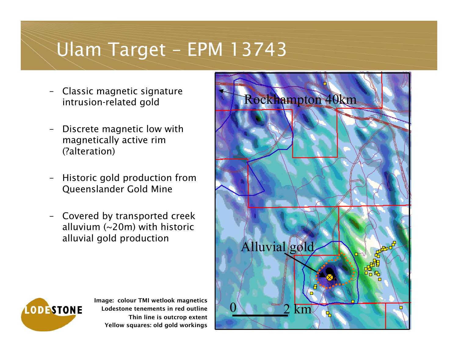# Ulam Target – EPM 13743

- – Classic magnetic signature intrusion-related gold
- – Discrete magnetic low with magnetically active rim (?alteration)
- – Historic gold production from Queenslander Gold Mine
- – Covered by transported creek alluvium (~20m) with historic alluvial gold production





Image: colour TMI wetlook magnetics Lodestone tenements in red outlineThin line is outcrop extent Yellow squares: old gold workings